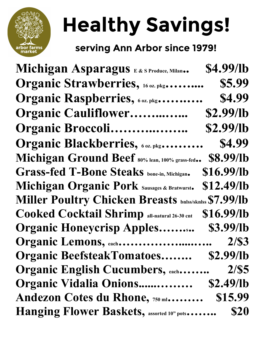

## Healthy Savings!

## serving Ann Arbor since 1979!

| Michigan Asparagus E&S Produce, Milan                 | \$4.99/lb  |
|-------------------------------------------------------|------------|
| Organic Strawberries, 16 oz. pkg.                     | \$5.99     |
| Organic Raspberries, 60z. pkg                         | \$4.99     |
| <b>Organic Cauliflower</b>                            | \$2.99/lb  |
| Organic Broccoli                                      | \$2.99/lb  |
| Organic Blackberries, 60z. pkg                        | \$4.99     |
| Michigan Ground Beef 80% lean, 100% grass-fed         | \$8.99/lb  |
| <b>Grass-fed T-Bone Steaks</b> bone-in, Michigan.     | \$16.99/lb |
| Michigan Organic Pork Sausages & Bratwurst.           | \$12.49/lb |
| Miller Poultry Chicken Breasts bnlss/sknlss \$7.99/lb |            |
| <b>Cooked Cocktail Shrimp all-natural 26-30 cnt</b>   | \$16.99/lb |
| <b>Organic Honeycrisp Apples</b>                      | \$3.99/lb  |
| Organic Lemons, each                                  | 2/S3       |
| <b>Organic BeefsteakTomatoes</b>                      | \$2.99/lb  |
| <b>Organic English Cucumbers, each</b>                | 2/S5       |
| Organic Vidalia Onions                                | \$2.49/lb  |
| Andezon Cotes du Rhone, 750 ml                        | \$15.99    |
| <b>Hanging Flower Baskets, assorted 10" pots</b>      | \$20       |